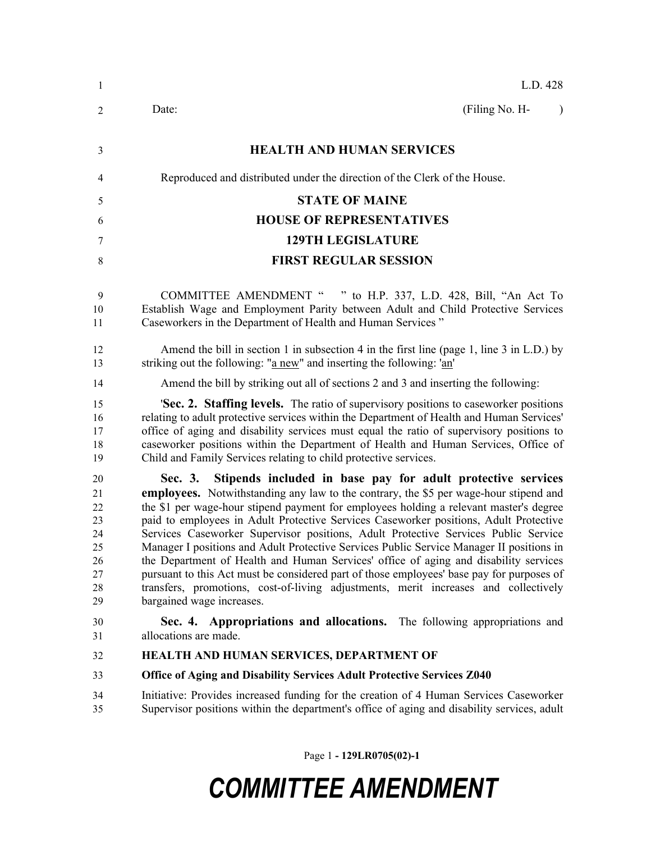| 1                                                        | L.D. 428                                                                                                                                                                                                                                                                                                                                                                                                                                                                                                                                                                                                                                                                                                                                                                                                                                             |  |  |  |
|----------------------------------------------------------|------------------------------------------------------------------------------------------------------------------------------------------------------------------------------------------------------------------------------------------------------------------------------------------------------------------------------------------------------------------------------------------------------------------------------------------------------------------------------------------------------------------------------------------------------------------------------------------------------------------------------------------------------------------------------------------------------------------------------------------------------------------------------------------------------------------------------------------------------|--|--|--|
| 2                                                        | (Filing No. H-<br>Date:<br>$\lambda$                                                                                                                                                                                                                                                                                                                                                                                                                                                                                                                                                                                                                                                                                                                                                                                                                 |  |  |  |
| 3                                                        | <b>HEALTH AND HUMAN SERVICES</b>                                                                                                                                                                                                                                                                                                                                                                                                                                                                                                                                                                                                                                                                                                                                                                                                                     |  |  |  |
| 4                                                        | Reproduced and distributed under the direction of the Clerk of the House.                                                                                                                                                                                                                                                                                                                                                                                                                                                                                                                                                                                                                                                                                                                                                                            |  |  |  |
| 5                                                        | <b>STATE OF MAINE</b>                                                                                                                                                                                                                                                                                                                                                                                                                                                                                                                                                                                                                                                                                                                                                                                                                                |  |  |  |
| 6                                                        | <b>HOUSE OF REPRESENTATIVES</b>                                                                                                                                                                                                                                                                                                                                                                                                                                                                                                                                                                                                                                                                                                                                                                                                                      |  |  |  |
| 7                                                        | <b>129TH LEGISLATURE</b>                                                                                                                                                                                                                                                                                                                                                                                                                                                                                                                                                                                                                                                                                                                                                                                                                             |  |  |  |
| 8                                                        | <b>FIRST REGULAR SESSION</b>                                                                                                                                                                                                                                                                                                                                                                                                                                                                                                                                                                                                                                                                                                                                                                                                                         |  |  |  |
| 9<br>10<br>11                                            | COMMITTEE AMENDMENT " " to H.P. 337, L.D. 428, Bill, "An Act To<br>Establish Wage and Employment Parity between Adult and Child Protective Services<br>Caseworkers in the Department of Health and Human Services"                                                                                                                                                                                                                                                                                                                                                                                                                                                                                                                                                                                                                                   |  |  |  |
| 12<br>13                                                 | Amend the bill in section 1 in subsection 4 in the first line (page 1, line 3 in L.D.) by<br>striking out the following: "a new" and inserting the following: 'an'                                                                                                                                                                                                                                                                                                                                                                                                                                                                                                                                                                                                                                                                                   |  |  |  |
| 14                                                       | Amend the bill by striking out all of sections 2 and 3 and inserting the following:                                                                                                                                                                                                                                                                                                                                                                                                                                                                                                                                                                                                                                                                                                                                                                  |  |  |  |
| 15<br>16<br>17<br>18<br>19                               | 'Sec. 2. Staffing levels. The ratio of supervisory positions to caseworker positions<br>relating to adult protective services within the Department of Health and Human Services'<br>office of aging and disability services must equal the ratio of supervisory positions to<br>caseworker positions within the Department of Health and Human Services, Office of<br>Child and Family Services relating to child protective services.                                                                                                                                                                                                                                                                                                                                                                                                              |  |  |  |
| 20<br>21<br>22<br>23<br>24<br>25<br>26<br>27<br>28<br>29 | Stipends included in base pay for adult protective services<br>Sec. 3.<br><b>employees.</b> Notwithstanding any law to the contrary, the \$5 per wage-hour stipend and<br>the \$1 per wage-hour stipend payment for employees holding a relevant master's degree<br>paid to employees in Adult Protective Services Caseworker positions, Adult Protective<br>Services Caseworker Supervisor positions, Adult Protective Services Public Service<br>Manager I positions and Adult Protective Services Public Service Manager II positions in<br>the Department of Health and Human Services' office of aging and disability services<br>pursuant to this Act must be considered part of those employees' base pay for purposes of<br>transfers, promotions, cost-of-living adjustments, merit increases and collectively<br>bargained wage increases. |  |  |  |
| 30<br>31                                                 | Sec. 4. Appropriations and allocations. The following appropriations and<br>allocations are made.                                                                                                                                                                                                                                                                                                                                                                                                                                                                                                                                                                                                                                                                                                                                                    |  |  |  |
| 32                                                       | HEALTH AND HUMAN SERVICES, DEPARTMENT OF                                                                                                                                                                                                                                                                                                                                                                                                                                                                                                                                                                                                                                                                                                                                                                                                             |  |  |  |
| 33                                                       | Office of Aging and Disability Services Adult Protective Services Z040                                                                                                                                                                                                                                                                                                                                                                                                                                                                                                                                                                                                                                                                                                                                                                               |  |  |  |
| 34<br>35                                                 | Initiative: Provides increased funding for the creation of 4 Human Services Caseworker<br>Supervisor positions within the department's office of aging and disability services, adult                                                                                                                                                                                                                                                                                                                                                                                                                                                                                                                                                                                                                                                                |  |  |  |
|                                                          |                                                                                                                                                                                                                                                                                                                                                                                                                                                                                                                                                                                                                                                                                                                                                                                                                                                      |  |  |  |

Page 1 **- 129LR0705(02)-1**

# *COMMITTEE AMENDMENT*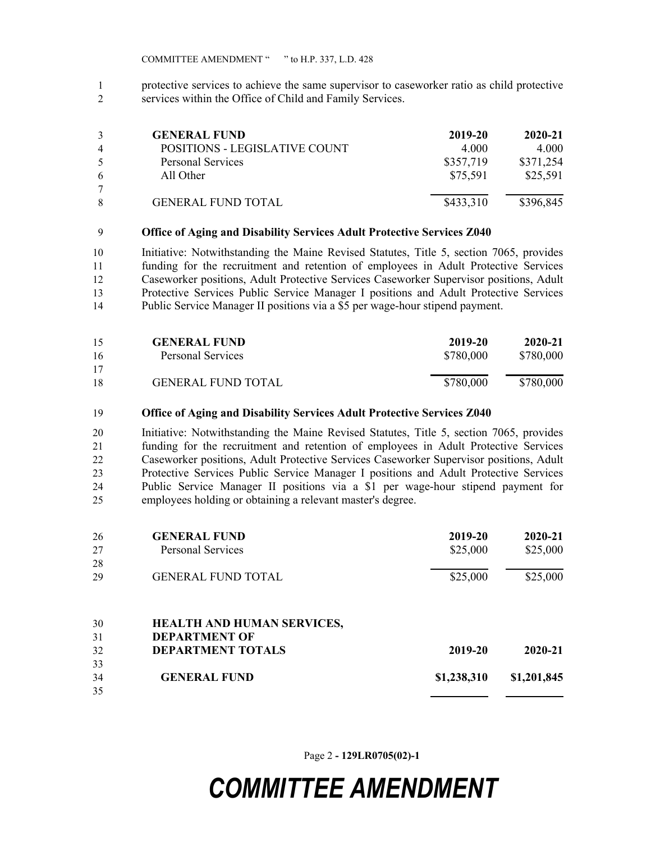protective services to achieve the same supervisor to caseworker ratio as child protective services within the Office of Child and Family Services.

| 3              | <b>GENERAL FUND</b>           | 2019-20   | 2020-21   |
|----------------|-------------------------------|-----------|-----------|
| $\overline{4}$ | POSITIONS - LEGISLATIVE COUNT | 4.000     | 4.000     |
| -5             | Personal Services             | \$357,719 | \$371,254 |
| 6              | All Other                     | \$75,591  | \$25,591  |
| 7              |                               |           |           |
| 8              | <b>GENERAL FUND TOTAL</b>     | \$433,310 | \$396,845 |

#### **Office of Aging and Disability Services Adult Protective Services Z040**

 Initiative: Notwithstanding the Maine Revised Statutes, Title 5, section 7065, provides funding for the recruitment and retention of employees in Adult Protective Services Caseworker positions, Adult Protective Services Caseworker Supervisor positions, Adult Protective Services Public Service Manager I positions and Adult Protective Services Public Service Manager II positions via a \$5 per wage-hour stipend payment.

| 15 | <b>GENERAL FUND</b>       | 2019-20   | 2020-21   |
|----|---------------------------|-----------|-----------|
| 16 | Personal Services         | \$780,000 | \$780,000 |
| 17 |                           |           |           |
| 18 | <b>GENERAL FUND TOTAL</b> | \$780,000 | \$780,000 |

#### **Office of Aging and Disability Services Adult Protective Services Z040**

 Initiative: Notwithstanding the Maine Revised Statutes, Title 5, section 7065, provides funding for the recruitment and retention of employees in Adult Protective Services Caseworker positions, Adult Protective Services Caseworker Supervisor positions, Adult Protective Services Public Service Manager I positions and Adult Protective Services Public Service Manager II positions via a \$1 per wage-hour stipend payment for employees holding or obtaining a relevant master's degree.

| 26 | <b>GENERAL FUND</b>               | 2019-20     | 2020-21     |
|----|-----------------------------------|-------------|-------------|
| 27 | <b>Personal Services</b>          | \$25,000    | \$25,000    |
| 28 |                                   |             |             |
| 29 | <b>GENERAL FUND TOTAL</b>         | \$25,000    | \$25,000    |
| 30 | <b>HEALTH AND HUMAN SERVICES,</b> |             |             |
| 31 | <b>DEPARTMENT OF</b>              |             |             |
| 32 | <b>DEPARTMENT TOTALS</b>          | 2019-20     | 2020-21     |
| 33 |                                   |             |             |
| 34 | <b>GENERAL FUND</b>               | \$1,238,310 | \$1,201,845 |
| 35 |                                   |             |             |

Page 2 **- 129LR0705(02)-1**

## *COMMITTEE AMENDMENT*